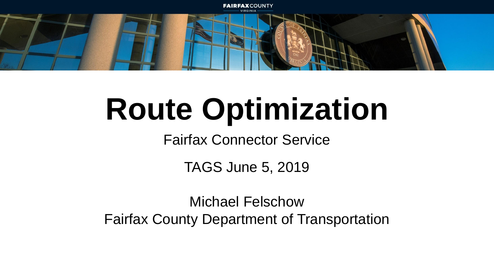

# **Route Optimization**

Fairfax Connector Service

TAGS June 5, 2019

Michael Felschow Fairfax County Department of Transportation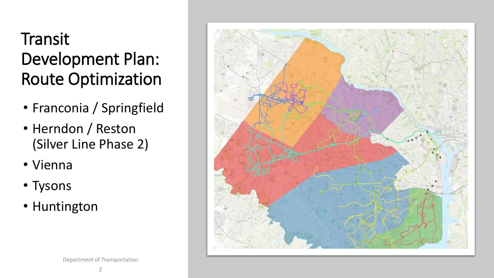#### **Transit** Development Plan: Route Optimization

- Franconia / Springfield
- Herndon / Reston (Silver Line Phase 2)
- Vienna
- Tysons
- Huntington

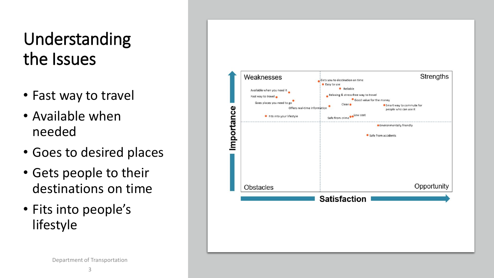#### Understanding the Issues

- Fast way to travel
- Available when needed
- Goes to desired places
- Gets people to their destinations on time
- Fits into people's lifestyle

![](_page_2_Figure_6.jpeg)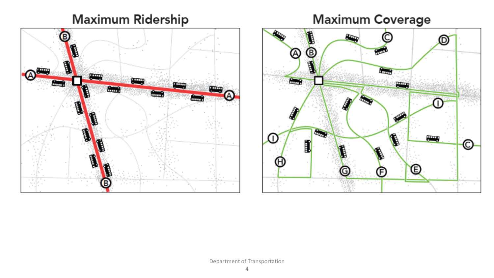#### **Maximum Ridership**

![](_page_3_Figure_1.jpeg)

## **Maximum Coverage**

![](_page_3_Figure_3.jpeg)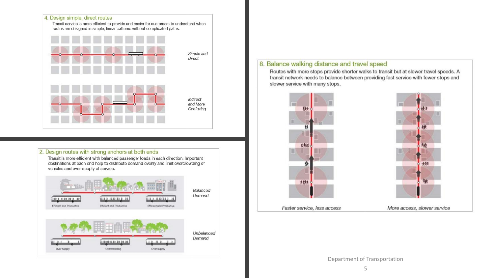![](_page_4_Figure_0.jpeg)

#### 2. Design routes with strong anchors at both ends

Transit is more efficient with balanced passenger loads in each direction. Important destinations at each end help to distribute demand evenly and limit overcrowding of vehicles and over-supply of service.

![](_page_4_Figure_3.jpeg)

#### 8. Balance walking distance and travel speed

Routes with more stops provide shorter walks to transit but at slower travel speeds. A transit network needs to balance between providing fast service with fewer stops and slower service with many stops.

![](_page_4_Figure_6.jpeg)

![](_page_4_Picture_7.jpeg)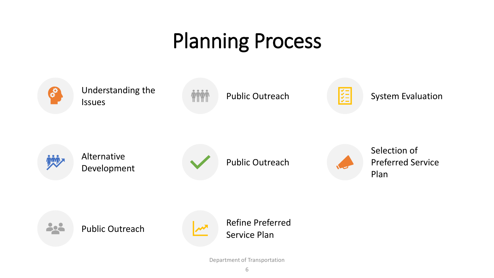## Planning Process

![](_page_5_Figure_1.jpeg)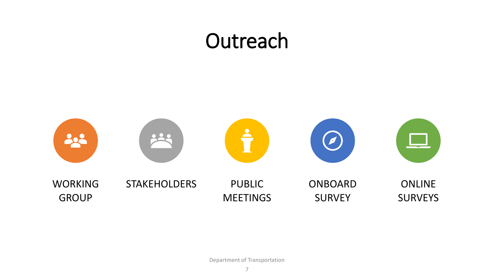#### **Outreach**

![](_page_6_Figure_1.jpeg)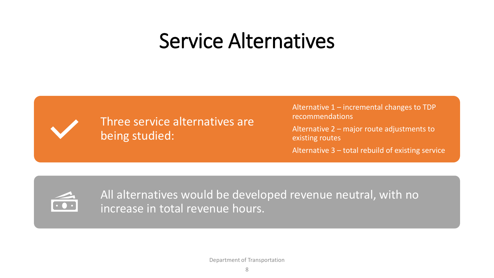### Service Alternatives

![](_page_7_Picture_1.jpeg)

Three service alternatives are being studied:

Alternative 1 – incremental changes to TDP recommendations

Alternative 2 – major route adjustments to existing routes

Alternative 3 – total rebuild of existing service

![](_page_7_Picture_6.jpeg)

All alternatives would be developed revenue neutral, with no increase in total revenue hours.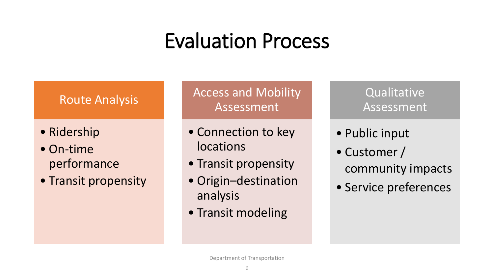## Evaluation Process

#### Route Analysis

- Ridership
- On-time performance
- Transit propensity

Access and Mobility Assessment

- Connection to key locations
- Transit propensity
- Origin–destination analysis
- Transit modeling

**Qualitative** Assessment

- Public input
- Customer / community impacts
- Service preferences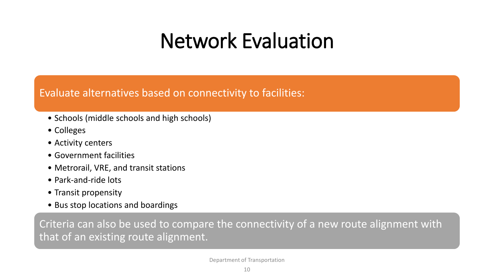### Network Evaluation

#### Evaluate alternatives based on connectivity to facilities:

- Schools (middle schools and high schools)
- Colleges
- Activity centers
- Government facilities
- Metrorail, VRE, and transit stations
- Park-and-ride lots
- Transit propensity
- Bus stop locations and boardings

Criteria can also be used to compare the connectivity of a new route alignment with that of an existing route alignment.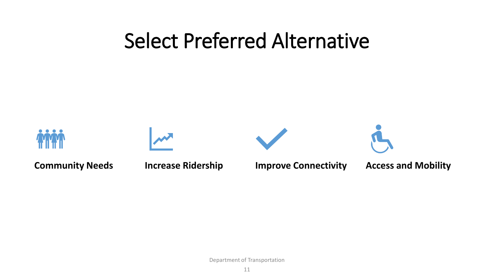#### Select Preferred Alternative

![](_page_10_Figure_1.jpeg)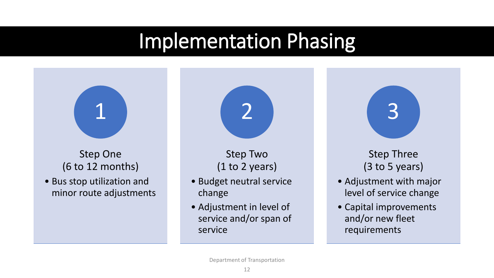### Implementation Phasing

![](_page_11_Figure_1.jpeg)

• Capital improvements and/or new fleet requirements

Department of Transportation

service and/or span of

service